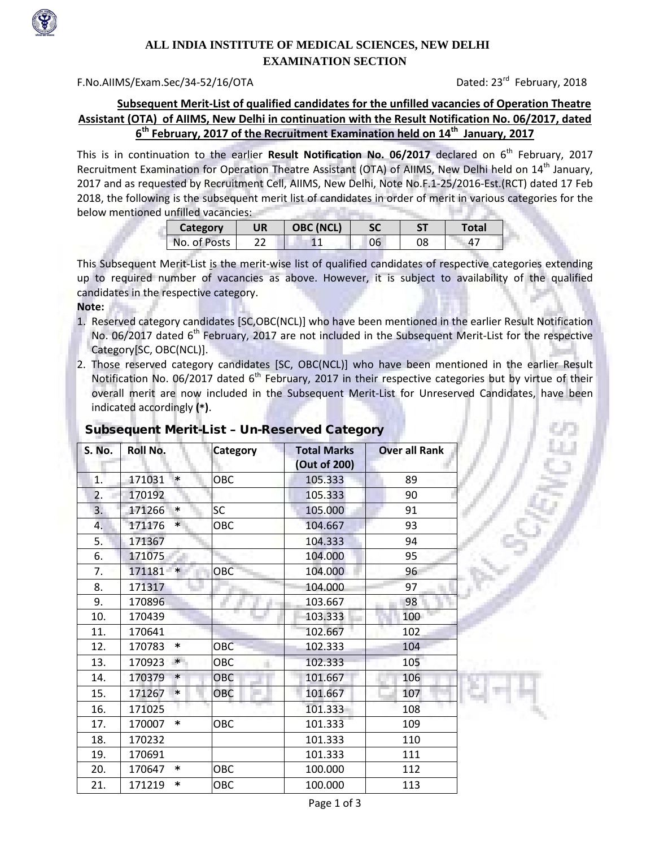

# **ALL INDIA INSTITUTE OF MEDICAL SCIENCES, NEW DELHI EXAMINATION SECTION**

### F.No.AIIMS/Exam.Sec/34-52/16/OTADated: 23rd February, 2018

## **Subsequent Merit-List of qualified candidates for the unfilled vacancies of Operation Theatre Assistant (OTA) of AIIMS, New Delhi in continuation with the Result Notification No. 06/2017, dated 6th February, 2017 of the Recruitment Examination held on 14th January, 2017**

This is in continuation to the earlier Result Notification No. 06/2017 declared on 6<sup>th</sup> February, 2017 Recruitment Examination for Operation Theatre Assistant (OTA) of AIIMS, New Delhi held on 14<sup>th</sup> January, 2017 and as requested by Recruitment Cell, AIIMS, New Delhi, Note No.F.1-25/2016-Est.(RCT) dated 17 Feb 2018, the following is the subsequent merit list of candidates in order of merit in various categories for the below mentioned unfilled vacancies: **Controlled State** 

| Category     | <b>UR</b> | <b>OBC (NCL)</b> | SC |    | Total |
|--------------|-----------|------------------|----|----|-------|
| No. of Posts |           |                  | 06 | 08 | 47    |

This Subsequent Merit-List is the merit-wise list of qualified candidates of respective categories extending up to required number of vacancies as above. However, it is subject to availability of the qualified candidates in the respective category.

#### **Note:**

- 1. Reserved category candidates [SC,OBC(NCL)] who have been mentioned in the earlier Result Notification No. 06/2017 dated 6<sup>th</sup> February, 2017 are not included in the Subsequent Merit-List for the respective Category[SC, OBC(NCL)].
- 2. Those reserved category candidates [SC, OBC(NCL)] who have been mentioned in the earlier Result Notification No. 06/2017 dated  $6<sup>th</sup>$  February, 2017 in their respective categories but by virtue of their overall merit are now included in the Subsequent Merit-List for Unreserved Candidates, have been indicated accordingly **(**\***)**.

### Subsequent Merit-List – Un-Reserved Category

| S. No. | <b>Roll No.</b> |         | <b>Category</b> | <b>Total Marks</b><br>(Out of 200) | <b>Over all Rank</b> |
|--------|-----------------|---------|-----------------|------------------------------------|----------------------|
| 1.     | 171031          | $\ast$  | OBC             | 105.333                            | 89                   |
| 2.     | 170192          |         |                 | 105.333                            | 90                   |
| 3.     | 171266          | $\star$ | <b>SC</b>       | 105.000                            | 91                   |
| 4.     | 171176          | $\star$ | ОВС             | 104.667                            | 93                   |
| 5.     | 171367          |         |                 | 104.333                            | 94                   |
| 6.     | 171075          |         |                 | 104.000                            | 95                   |
| 7.     | 171181          | $\star$ | OBC             | 104.000                            | 96                   |
| 8.     | 171317          |         |                 | 104.000                            | 97                   |
| 9.     | 170896          |         |                 | 103.667                            | 98                   |
| 10.    | 170439          |         |                 | 103.333                            | 100                  |
| 11.    | 170641          |         |                 | 102.667                            | 102                  |
| 12.    | 170783          | $\star$ | OBC             | 102.333                            | 104                  |
| 13.    | 170923          | $\star$ | OBC             | 102.333                            | 105                  |
| 14.    | 170379          | $\ast$  | OBC             | 101.667                            | 106                  |
| 15.    | 171267          | *       | OBC             | 101.667                            | 107                  |
| 16.    | 171025          |         |                 | 101.333                            | 108                  |
| 17.    | 170007          | *       | OBC             | 101.333                            | 109                  |
| 18.    | 170232          |         |                 | 101.333                            | 110                  |
| 19.    | 170691          |         |                 | 101.333                            | 111                  |
| 20.    | 170647          | *       | OBC             | 100.000                            | 112                  |
| 21.    | 171219          | *       | овс             | 100.000                            | 113                  |

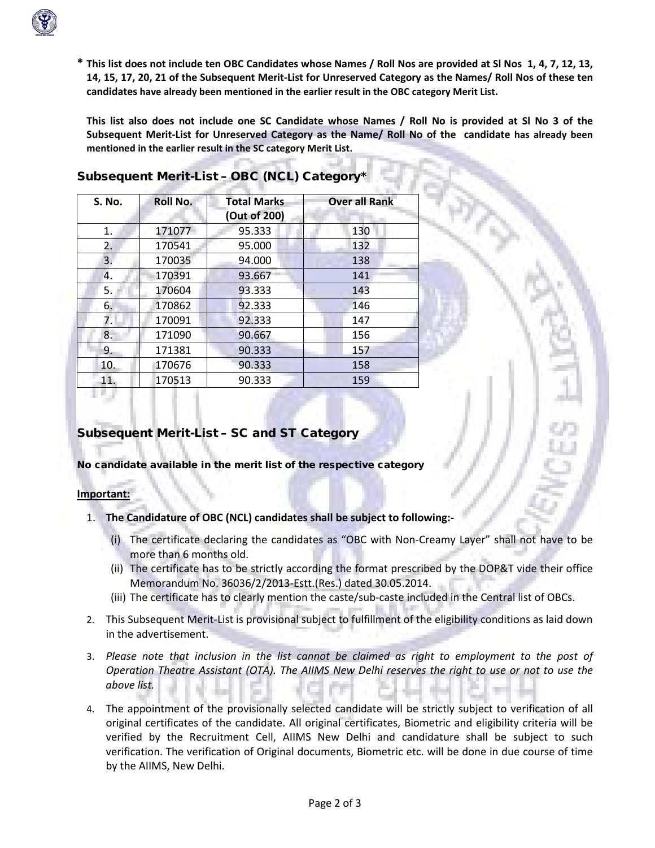

**\* This list does not include ten OBC Candidates whose Names / Roll Nos are provided at Sl Nos 1, 4, 7, 12, 13, 14, 15, 17, 20, 21 of the Subsequent Merit-List for Unreserved Category as the Names/ Roll Nos of these ten candidates have already been mentioned in the earlier result in the OBC category Merit List.**

**This list also does not include one SC Candidate whose Names / Roll No is provided at Sl No 3 of the Subsequent Merit-List for Unreserved Category as the Name/ Roll No of the candidate has already been mentioned in the earlier result in the SC category Merit List.**

| <b>S. No.</b> | Roll No. | <b>Total Marks</b><br>(Out of 200) | <b>Over all Rank</b> |
|---------------|----------|------------------------------------|----------------------|
| 1.            | 171077   | 95.333                             | 130                  |
| 2.            | 170541   | 95.000                             | 132                  |
| 3.            | 170035   | 94.000                             | 138                  |
| 4.            | 170391   | 93.667                             | 141                  |
| 5.            | 170604   | 93.333                             | 143                  |
| 6.            | 170862   | 92.333                             | 146                  |
| 7.            | 170091   | 92.333                             | 147                  |
| 8.            | 171090   | 90.667                             | 156                  |
| 9.            | 171381   | 90.333                             | 157                  |
| 10.           | 170676   | 90.333                             | 158                  |
| 11.           | 170513   | 90.333                             | 159                  |

# Subsequent Merit-List - OBC (NCL) Category<sup>\*</sup>

### Subsequent Merit-List – SC and ST Category

No candidate available in the merit list of the respective category

#### **Important:**

- 1. **The Candidature of OBC (NCL) candidates shall be subject to following:-**
	- (i) The certificate declaring the candidates as "OBC with Non-Creamy Layer" shall not have to be more than 6 months old.
	- (ii) The certificate has to be strictly according the format prescribed by the DOP&T vide their office Memorandum No. 36036/2/2013-Estt.(Res.) dated 30.05.2014.
	- (iii) The certificate has to clearly mention the caste/sub-caste included in the Central list of OBCs.
- 2. This Subsequent Merit-List is provisional subject to fulfillment of the eligibility conditions as laid down in the advertisement.
- 3. *Please note that inclusion in the list cannot be claimed as right to employment to the post of Operation Theatre Assistant (OTA). The AIIMS New Delhi reserves the right to use or not to use the above list.*
- 4. The appointment of the provisionally selected candidate will be strictly subject to verification of all original certificates of the candidate. All original certificates, Biometric and eligibility criteria will be verified by the Recruitment Cell, AIIMS New Delhi and candidature shall be subject to such verification. The verification of Original documents, Biometric etc. will be done in due course of time by the AIIMS, New Delhi.